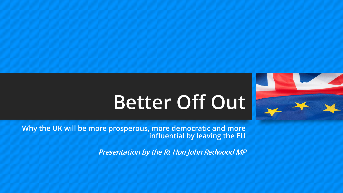

# **Better Off Out**

**Why the UK will be more prosperous, more democratic and more influential by leaving the EU**

**Presentation by the Rt Hon John Redwood MP**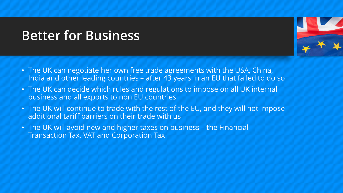#### **Better for Business**



- The UK can negotiate her own free trade agreements with the USA, China, India and other leading countries – after  $4\overline{3}$  years in an EU that failed to do so
- The UK can decide which rules and regulations to impose on all UK internal business and all exports to non EU countries
- The UK will continue to trade with the rest of the EU, and they will not impose additional tariff barriers on their trade with us
- The UK will avoid new and higher taxes on business the Financial Transaction Tax, VAT and Corporation Tax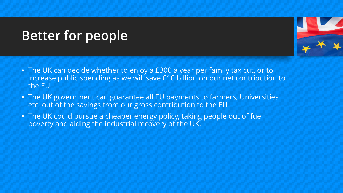# **Better for people**



- The UK can decide whether to enjoy a £300 a year per family tax cut, or to increase public spending as we will save £10 billion on our net contribution to the EU
- The UK government can guarantee all EU payments to farmers, Universities etc. out of the savings from our gross contribution to the EU
- The UK could pursue a cheaper energy policy, taking people out of fuel poverty and aiding the industrial recovery of the UK.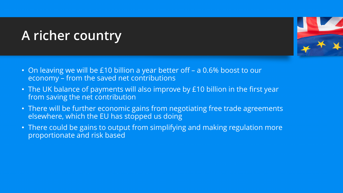## **A richer country**



- On leaving we will be £10 billion a year better off a 0.6% boost to our economy – from the saved net contributions
- The UK balance of payments will also improve by £10 billion in the first year from saving the net contribution
- There will be further economic gains from negotiating free trade agreements elsewhere, which the EU has stopped us doing
- There could be gains to output from simplifying and making regulation more proportionate and risk based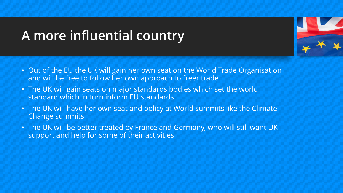## **A more influential country**



- Out of the EU the UK will gain her own seat on the World Trade Organisation and will be free to follow her own approach to freer trade
- The UK will gain seats on major standards bodies which set the world standard which in turn inform EU standards
- The UK will have her own seat and policy at World summits like the Climate Change summits
- The UK will be better treated by France and Germany, who will still want UK support and help for some of their activities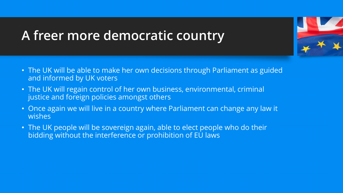#### **A freer more democratic country**

- The UK will be able to make her own decisions through Parliament as guided and informed by UK voters
- The UK will regain control of her own business, environmental, criminal justice and foreign policies amongst others
- Once again we will live in a country where Parliament can change any law it wishes
- The UK people will be sovereign again, able to elect people who do their bidding without the interference or prohibition of EU laws